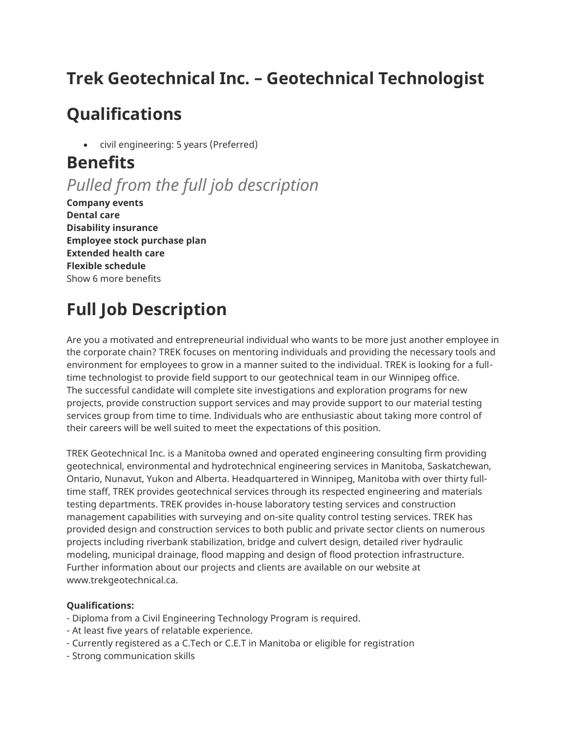# **Trek Geotechnical Inc. – Geotechnical Technologist**

## **Qualifications**

• civil engineering: 5 years (Preferred)

### **Benefits**

*Pulled from the full job description*

**Company events Dental care Disability insurance Employee stock purchase plan Extended health care Flexible schedule** Show 6 more benefits

# **Full Job Description**

Are you a motivated and entrepreneurial individual who wants to be more just another employee in the corporate chain? TREK focuses on mentoring individuals and providing the necessary tools and environment for employees to grow in a manner suited to the individual. TREK is looking for a fulltime technologist to provide field support to our geotechnical team in our Winnipeg office. The successful candidate will complete site investigations and exploration programs for new projects, provide construction support services and may provide support to our material testing services group from time to time. Individuals who are enthusiastic about taking more control of their careers will be well suited to meet the expectations of this position.

TREK Geotechnical Inc. is a Manitoba owned and operated engineering consulting firm providing geotechnical, environmental and hydrotechnical engineering services in Manitoba, Saskatchewan, Ontario, Nunavut, Yukon and Alberta. Headquartered in Winnipeg, Manitoba with over thirty fulltime staff, TREK provides geotechnical services through its respected engineering and materials testing departments. TREK provides in-house laboratory testing services and construction management capabilities with surveying and on-site quality control testing services. TREK has provided design and construction services to both public and private sector clients on numerous projects including riverbank stabilization, bridge and culvert design, detailed river hydraulic modeling, municipal drainage, flood mapping and design of flood protection infrastructure. Further information about our projects and clients are available on our website at www.trekgeotechnical.ca.

### **Qualifications:**

- Diploma from a Civil Engineering Technology Program is required.
- At least five years of relatable experience.
- Currently registered as a C.Tech or C.E.T in Manitoba or eligible for registration
- Strong communication skills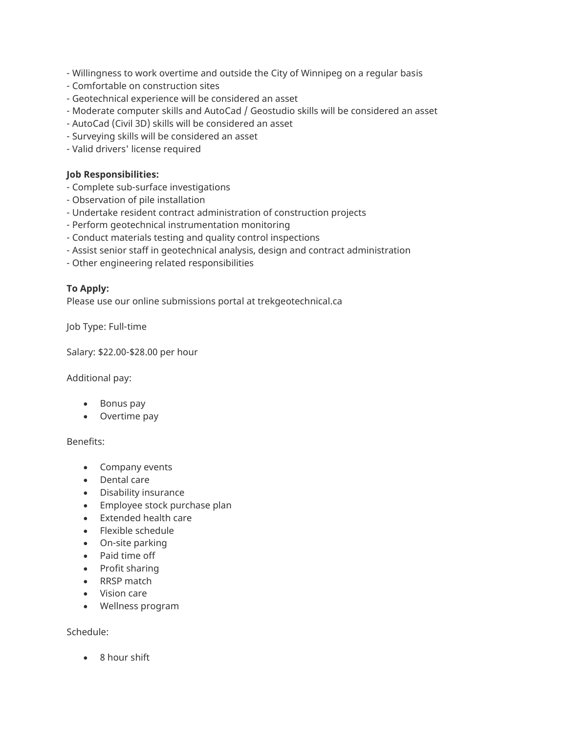- Willingness to work overtime and outside the City of Winnipeg on a regular basis
- Comfortable on construction sites
- Geotechnical experience will be considered an asset
- Moderate computer skills and AutoCad / Geostudio skills will be considered an asset
- AutoCad (Civil 3D) skills will be considered an asset
- Surveying skills will be considered an asset
- Valid drivers' license required

#### **Job Responsibilities:**

- Complete sub-surface investigations
- Observation of pile installation
- Undertake resident contract administration of construction projects
- Perform geotechnical instrumentation monitoring
- Conduct materials testing and quality control inspections
- Assist senior staff in geotechnical analysis, design and contract administration
- Other engineering related responsibilities

### **To Apply:**

Please use our online submissions portal at trekgeotechnical.ca

Job Type: Full-time

Salary: \$22.00-\$28.00 per hour

Additional pay:

- Bonus pay
- Overtime pay

Benefits:

- Company events
- Dental care
- Disability insurance
- Employee stock purchase plan
- Extended health care
- Flexible schedule
- On-site parking
- Paid time off
- Profit sharing
- RRSP match
- Vision care
- Wellness program

Schedule:

• 8 hour shift